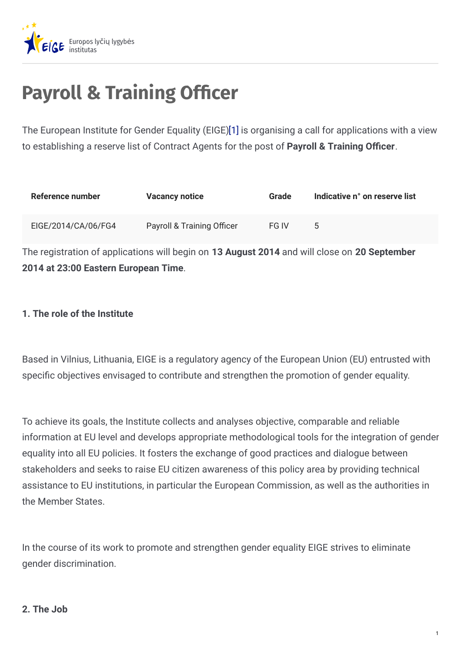

# **Payroll & Training Officer**

The European Institute for Gender Equality (EIGE[\)\[1\]](http://www.eige.europa.eu/content/career-opportunity/#_ftn1) is organising a call for applications with a view to establishing a reserve list of Contract Agents for the post of **Payroll & Training Ocer**.

| Reference number    | <b>Vacancy notice</b>                 | <b>Grade</b> | Indicative n° on reserve list |
|---------------------|---------------------------------------|--------------|-------------------------------|
| EIGE/2014/CA/06/FG4 | <b>Payroll &amp; Training Officer</b> | FG IV        |                               |

The registration of applications will begin on **13 August 2014** and will close on **20 September 2014 at 23:00 Eastern European Time**.

# **1. The role of the Institute**

Based in Vilnius, Lithuania, EIGE is a regulatory agency of the European Union (EU) entrusted with specific objectives envisaged to contribute and strengthen the promotion of gender equality.

To achieve its goals, the Institute collects and analyses objective, comparable and reliable information at EU level and develops appropriate methodological tools for the integration of gender equality into all EU policies. It fosters the exchange of good practices and dialogue between stakeholders and seeks to raise EU citizen awareness of this policy area by providing technical assistance to EU institutions, in particular the European Commission, as well as the authorities in the Member States.

In the course of its work to promote and strengthen gender equality EIGE strives to eliminate gender discrimination.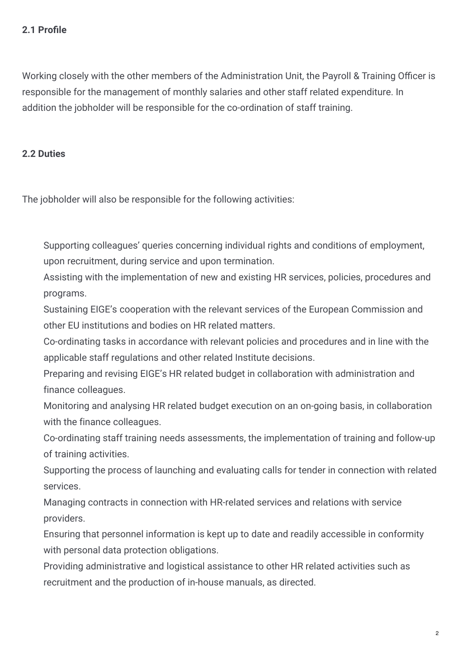# **2.1 Pro+le**

Working closely with the other members of the Administration Unit, the Payroll & Training Officer is responsible for the management of monthly salaries and other staff related expenditure. In addition the jobholder will be responsible for the co-ordination of staff training.

### **2.2 Duties**

The jobholder will also be responsible for the following activities:

Supporting colleagues' queries concerning individual rights and conditions of employment, upon recruitment, during service and upon termination.

Assisting with the implementation of new and existing HR services, policies, procedures and programs.

Sustaining EIGE's cooperation with the relevant services of the European Commission and other EU institutions and bodies on HR related matters.

Co-ordinating tasks in accordance with relevant policies and procedures and in line with the applicable staff regulations and other related Institute decisions.

Preparing and revising EIGE's HR related budget in collaboration with administration and finance colleagues.

Monitoring and analysing HR related budget execution on an on-going basis, in collaboration with the finance colleagues.

Co-ordinating staff training needs assessments, the implementation of training and follow-up of training activities.

Supporting the process of launching and evaluating calls for tender in connection with related services.

Managing contracts in connection with HR-related services and relations with service providers.

Ensuring that personnel information is kept up to date and readily accessible in conformity with personal data protection obligations.

Providing administrative and logistical assistance to other HR related activities such as recruitment and the production of in-house manuals, as directed.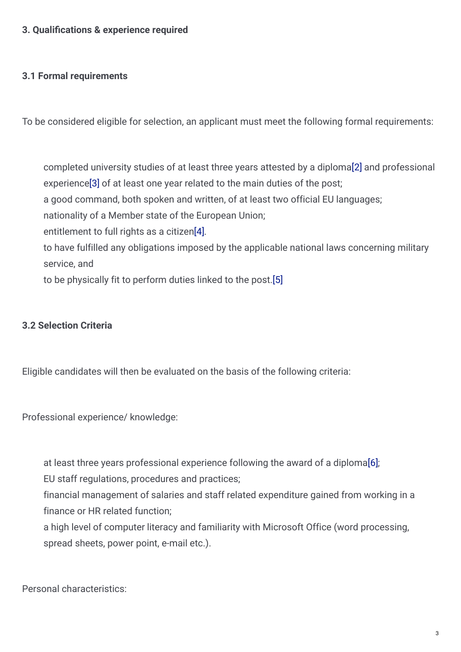# **3. Quali+cations & experience required**

#### **3.1 Formal requirements**

To be considered eligible for selection, an applicant must meet the following formal requirements:

completed university studies of at least three years attested by a diploma[\[2\]](http://www.eige.europa.eu/content/career-opportunity/#_ftn2) and professional experienc[e\[3\]](http://www.eige.europa.eu/content/career-opportunity/#_ftn3) of at least one year related to the main duties of the post; a good command, both spoken and written, of at least two official EU languages; nationality of a Member state of the European Union; entitlement to full rights as a citize[n\[4\]](http://www.eige.europa.eu/content/career-opportunity/#_ftn4). to have fulfilled any obligations imposed by the applicable national laws concerning military service, and to be physically fit to perform duties linked to the post[.\[5\]](http://www.eige.europa.eu/content/career-opportunity/#_ftn5)

#### **3.2 Selection Criteria**

Eligible candidates will then be evaluated on the basis of the following criteria:

Professional experience/ knowledge:

at least three years professional experience following the award of a diplom[a\[6\]](http://www.eige.europa.eu/content/career-opportunity/#_ftn6);

EU staff regulations, procedures and practices;

financial management of salaries and staff related expenditure gained from working in a finance or HR related function;

a high level of computer literacy and familiarity with Microsoft Office (word processing, spread sheets, power point, e-mail etc.).

Personal characteristics: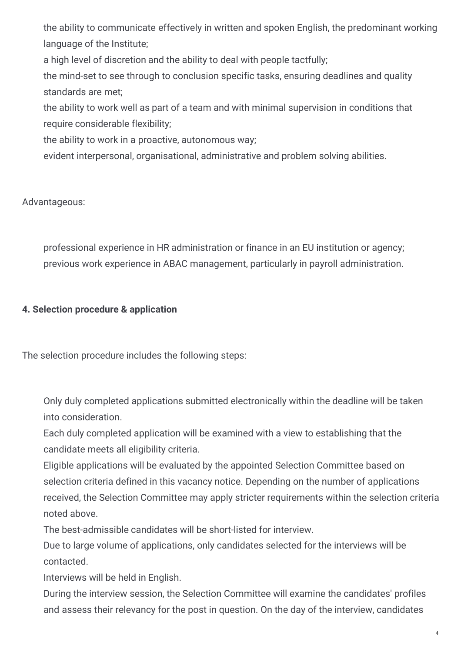the ability to communicate effectively in written and spoken English, the predominant working language of the Institute;

a high level of discretion and the ability to deal with people tactfully;

the mind-set to see through to conclusion specific tasks, ensuring deadlines and quality standards are met;

the ability to work well as part of a team and with minimal supervision in conditions that require considerable flexibility;

the ability to work in a proactive, autonomous way;

evident interpersonal, organisational, administrative and problem solving abilities.

Advantageous:

professional experience in HR administration or finance in an EU institution or agency; previous work experience in ABAC management, particularly in payroll administration.

# **4. Selection procedure & application**

The selection procedure includes the following steps:

Only duly completed applications submitted electronically within the deadline will be taken into consideration.

Each duly completed application will be examined with a view to establishing that the candidate meets all eligibility criteria.

Eligible applications will be evaluated by the appointed Selection Committee based on selection criteria defined in this vacancy notice. Depending on the number of applications received, the Selection Committee may apply stricter requirements within the selection criteria noted above.

The best-admissible candidates will be short-listed for interview.

Due to large volume of applications, only candidates selected for the interviews will be contacted.

Interviews will be held in English.

During the interview session, the Selection Committee will examine the candidates' profiles and assess their relevancy for the post in question. On the day of the interview, candidates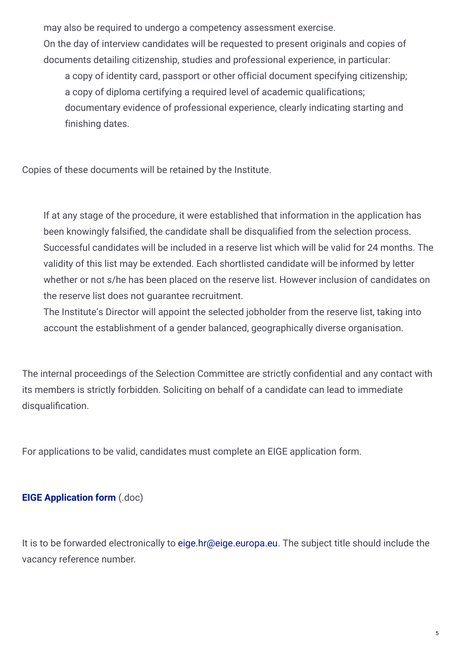may also be required to undergo a competency assessment exercise. On the day of interview candidates will be requested to present originals and copies of documents detailing citizenship, studies and professional experience, in particular: a copy of identity card, passport or other official document specifying citizenship; a copy of diploma certifying a required level of academic qualifications; documentary evidence of professional experience, clearly indicating starting and finishing dates.

Copies of these documents will be retained by the Institute.

If at any stage of the procedure, it were established that information in the application has been knowingly falsified, the candidate shall be disqualified from the selection process. Successful candidates will be included in a reserve list which will be valid for 24 months. The validity of this list may be extended. Each shortlisted candidate will be informed by letter whether or not s/he has been placed on the reserve list. However inclusion of candidates on the reserve list does not guarantee recruitment.

The Institute's Director will appoint the selected jobholder from the reserve list, taking into account the establishment of a gender balanced, geographically diverse organisation.

The internal proceedings of the Selection Committee are strictly confidential and any contact with its members is strictly forbidden. Soliciting on behalf of a candidate can lead to immediate disqualification.

For applications to be valid, candidates must complete an EIGE application form.

# **EIGE [Application](http://www.eige.europa.eu/sites/default/files/vacancies/EIGE_application_form_PAYROLL %26 TRAINING OFFICER.doc) form** (.doc)

It is to be forwarded electronically to [eige.hr@eige.europa.eu](mailto:eige.hr@eige.europa.eu). The subject title should include the vacancy reference number.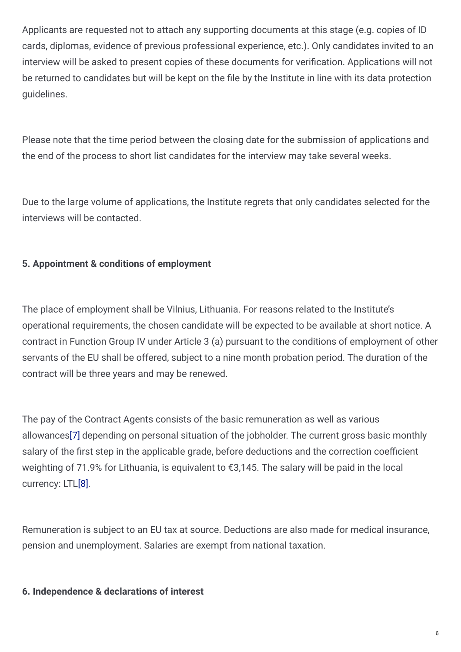Applicants are requested not to attach any supporting documents at this stage (e.g. copies of ID cards, diplomas, evidence of previous professional experience, etc.). Only candidates invited to an interview will be asked to present copies of these documents for verification. Applications will not be returned to candidates but will be kept on the file by the Institute in line with its data protection guidelines.

Please note that the time period between the closing date for the submission of applications and the end of the process to short list candidates for the interview may take several weeks.

Due to the large volume of applications, the Institute regrets that only candidates selected for the interviews will be contacted.

# **5. Appointment & conditions of employment**

The place of employment shall be Vilnius, Lithuania. For reasons related to the Institute's operational requirements, the chosen candidate will be expected to be available at short notice. A contract in Function Group IV under Article 3 (a) pursuant to the conditions of employment of other servants of the EU shall be offered, subject to a nine month probation period. The duration of the contract will be three years and may be renewed.

The pay of the Contract Agents consists of the basic remuneration as well as various allowance[s\[7\]](http://www.eige.europa.eu/content/career-opportunity/#_ftn7) depending on personal situation of the jobholder. The current gross basic monthly salary of the first step in the applicable grade, before deductions and the correction coefficient weighting of 71.9% for Lithuania, is equivalent to €3,145. The salary will be paid in the local currency: LT[L\[8\]](http://www.eige.europa.eu/content/career-opportunity/#_ftn8).

Remuneration is subject to an EU tax at source. Deductions are also made for medical insurance, pension and unemployment. Salaries are exempt from national taxation.

#### **6. Independence & declarations of interest**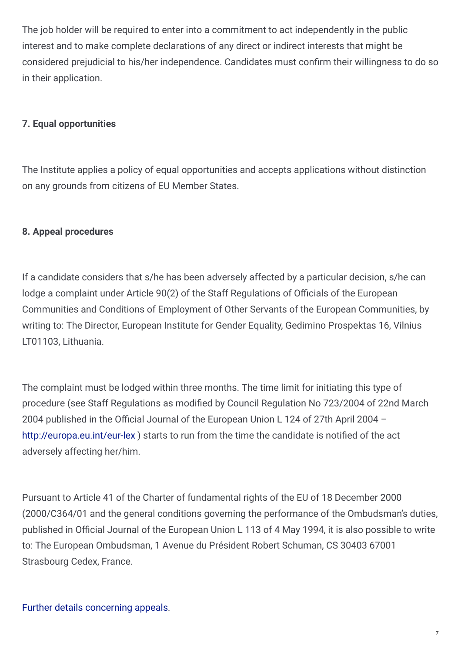The job holder will be required to enter into a commitment to act independently in the public interest and to make complete declarations of any direct or indirect interests that might be considered prejudicial to his/her independence. Candidates must confirm their willingness to do so in their application.

# **7. Equal opportunities**

The Institute applies a policy of equal opportunities and accepts applications without distinction on any grounds from citizens of EU Member States.

#### **8. Appeal procedures**

If a candidate considers that s/he has been adversely affected by a particular decision, s/he can lodge a complaint under Article 90(2) of the Staff Regulations of Officials of the European Communities and Conditions of Employment of Other Servants of the European Communities, by writing to: The Director, European Institute for Gender Equality, Gedimino Prospektas 16, Vilnius LT01103, Lithuania.

The complaint must be lodged within three months. The time limit for initiating this type of procedure (see Staff Regulations as modified by Council Regulation No 723/2004 of 22nd March 2004 published in the Official Journal of the European Union L 124 of 27th April 2004  $$ <http://europa.eu.int/eur-lex>) starts to run from the time the candidate is notified of the act adversely affecting her/him.

Pursuant to Article 41 of the Charter of fundamental rights of the EU of 18 December 2000 (2000/C364/01 and the general conditions governing the performance of the Ombudsman's duties, published in Official Journal of the European Union L 113 of 4 May 1994, it is also possible to write to: The European Ombudsman, 1 Avenue du Président Robert Schuman, CS 30403 67001 Strasbourg Cedex, France.

Further details [concerning](https://eige.europa.eu/content/selection-procedure-appeals-further-details) appeals.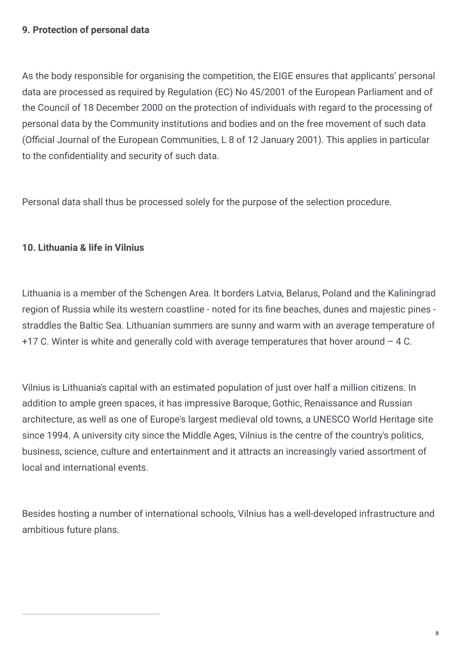### **9. Protection of personal data**

As the body responsible for organising the competition, the EIGE ensures that applicants' personal data are processed as required by Regulation (EC) No 45/2001 of the European Parliament and of the Council of 18 December 2000 on the protection of individuals with regard to the processing of personal data by the Community institutions and bodies and on the free movement of such data (Official Journal of the European Communities, L 8 of 12 January 2001). This applies in particular to the confidentiality and security of such data.

Personal data shall thus be processed solely for the purpose of the selection procedure.

# **10. Lithuania & life in Vilnius**

Lithuania is a member of the Schengen Area. It borders Latvia, Belarus, Poland and the Kaliningrad region of Russia while its western coastline - noted for its fine beaches, dunes and majestic pines straddles the Baltic Sea. Lithuanian summers are sunny and warm with an average temperature of  $+17$  C. Winter is white and generally cold with average temperatures that hover around  $-4$  C.

Vilnius is Lithuania's capital with an estimated population of just over half a million citizens. In addition to ample green spaces, it has impressive Baroque, Gothic, Renaissance and Russian architecture, as well as one of Europe's largest medieval old towns, a UNESCO World Heritage site since 1994. A university city since the Middle Ages, Vilnius is the centre of the country's politics, business, science, culture and entertainment and it attracts an increasingly varied assortment of local and international events.

Besides hosting a number of international schools, Vilnius has a well-developed infrastructure and ambitious future plans.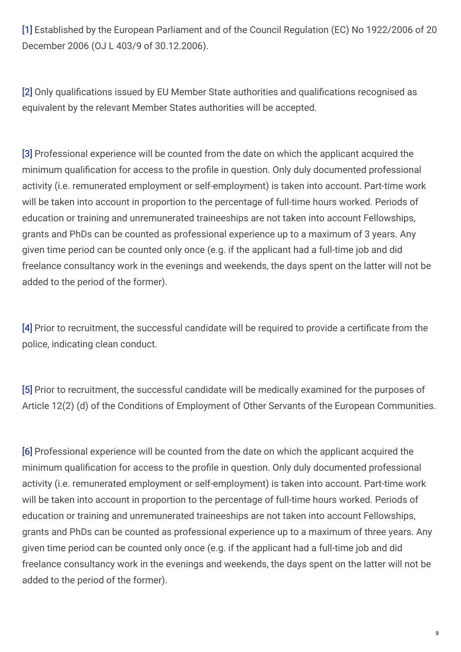[\[1\]](http://www.eige.europa.eu/content/career-opportunity/#_ftnref1) Established by the European Parliament and of the Council Regulation (EC) No 1922/2006 of 20 December 2006 (OJ L 403/9 of 30.12.2006).

[\[2\]](http://www.eige.europa.eu/content/career-opportunity/#_ftnref2) Only qualifications issued by EU Member State authorities and qualifications recognised as equivalent by the relevant Member States authorities will be accepted.

[\[3\]](http://www.eige.europa.eu/content/career-opportunity/#_ftnref3) Professional experience will be counted from the date on which the applicant acquired the minimum qualification for access to the profile in question. Only duly documented professional activity (i.e. remunerated employment or self-employment) is taken into account. Part-time work will be taken into account in proportion to the percentage of full-time hours worked. Periods of education or training and unremunerated traineeships are not taken into account Fellowships, grants and PhDs can be counted as professional experience up to a maximum of 3 years. Any given time period can be counted only once (e.g. if the applicant had a full-time job and did freelance consultancy work in the evenings and weekends, the days spent on the latter will not be added to the period of the former).

[\[4\]](http://www.eige.europa.eu/content/career-opportunity/#_ftnref4) Prior to recruitment, the successful candidate will be required to provide a certificate from the police, indicating clean conduct.

[\[5\]](http://www.eige.europa.eu/content/career-opportunity/#_ftnref5) Prior to recruitment, the successful candidate will be medically examined for the purposes of Article 12(2) (d) of the Conditions of Employment of Other Servants of the European Communities.

[\[6\]](http://www.eige.europa.eu/content/career-opportunity/#_ftnref6) Professional experience will be counted from the date on which the applicant acquired the minimum qualification for access to the profile in question. Only duly documented professional activity (i.e. remunerated employment or self-employment) is taken into account. Part-time work will be taken into account in proportion to the percentage of full-time hours worked. Periods of education or training and unremunerated traineeships are not taken into account Fellowships, grants and PhDs can be counted as professional experience up to a maximum of three years. Any given time period can be counted only once (e.g. if the applicant had a full-time job and did freelance consultancy work in the evenings and weekends, the days spent on the latter will not be added to the period of the former).